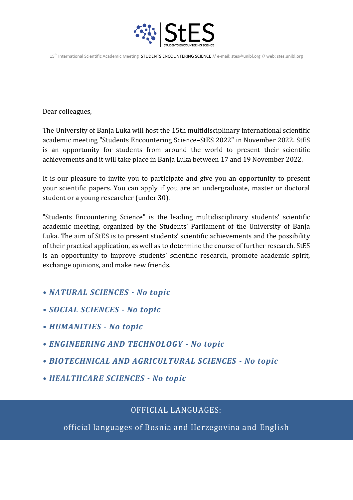

15<sup>th</sup> International Scientific Academic Meeting STUDENTS ENCOUNTERING SCIENCE // e-mail: stes@unibl.org // web: stes.unibl.org

Dear colleagues,

The University of Banja Luka will host the 15th multidisciplinary international scientific academic meeting "Students Encountering Science–StES 2022" in November 2022. StES is an opportunity for students from around the world to present their scientific achievements and it will take place in Banja Luka between 17 and 19 November 2022.

It is our pleasure to invite you to participate and give you an opportunity to present your scientific papers. You can apply if you are an undergraduate, master or doctoral student or a young researcher (under 30).

"Students Encountering Science" is the leading multidisciplinary students' scientific academic meeting, organized by the Students' Parliament of the University of Banja Luka. The aim of StES is to present students' scientific achievements and the possibility of their practical application, as well as to determine the course of further research. StES is an opportunity to improve students' scientific research, promote academic spirit, exchange opinions, and make new friends.

- *NATURAL SCIENCES - No topic*
- *SOCIAL SCIENCES - No topic*
- *HUMANITIES - No topic*
- *ENGINEERING AND TECHNOLOGY - No topic*
- *BIOTECHNICAL AND AGRICULTURAL SCIENCES - No topic*
- *HEALTHCARE SCIENCES - No topic*

## OFFICIAL LANGUAGES:

official languages of Bosnia and Herzegovina and English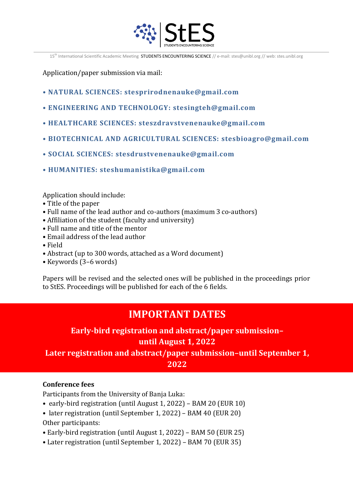

15<sup>th</sup> International Scientific Academic Meeting STUDENTS ENCOUNTERING SCIENCE // e-mail: stes@unibl.org // web: stes.unibl.org

Application/paper submission via mail:

- **NATURAL SCIENCES: stesprirodnenauke@gmail.com**
- **ENGINEERING AND TECHNOLOGY: stesingteh@gmail.com**
- **HEALTHCARE SCIENCES: steszdravstvenenauke@gmail.com**
- **BIOTECHNICAL AND AGRICULTURAL SCIENCES: stesbioagro@gmail.com**
- **SOCIAL SCIENCES: stesdrustvenenauke@gmail.com**
- **HUMANITIES: steshumanistika@gmail.com**

Application should include:

- Title of the paper
- Full name of the lead author and co-authors (maximum 3 co-authors)
- Affiliation of the student (faculty and university)
- Full name and title of the mentor
- Email address of the lead author
- Field
- Abstract (up to 300 words, attached as a Word document)
- Keywords (3–6 words)

Papers will be revised and the selected ones will be published in the proceedings prior to StES. Proceedings will be published for each of the 6 fields.

# **IMPORTANT DATES**

# **Early-bird registration and abstract/paper submission– until August 1, 2022**

**Later registration and abstract/paper submission–until September 1, 2022**

#### **Conference fees**

Participants from the University of Banja Luka:

- early-bird registration (until August 1, 2022) BAM 20 (EUR 10)
- later registration (until September 1, 2022) BAM 40 (EUR 20) Other participants:
- Early-bird registration (until August 1, 2022) BAM 50 (EUR 25)
- Later registration (until September 1, 2022) BAM 70 (EUR 35)